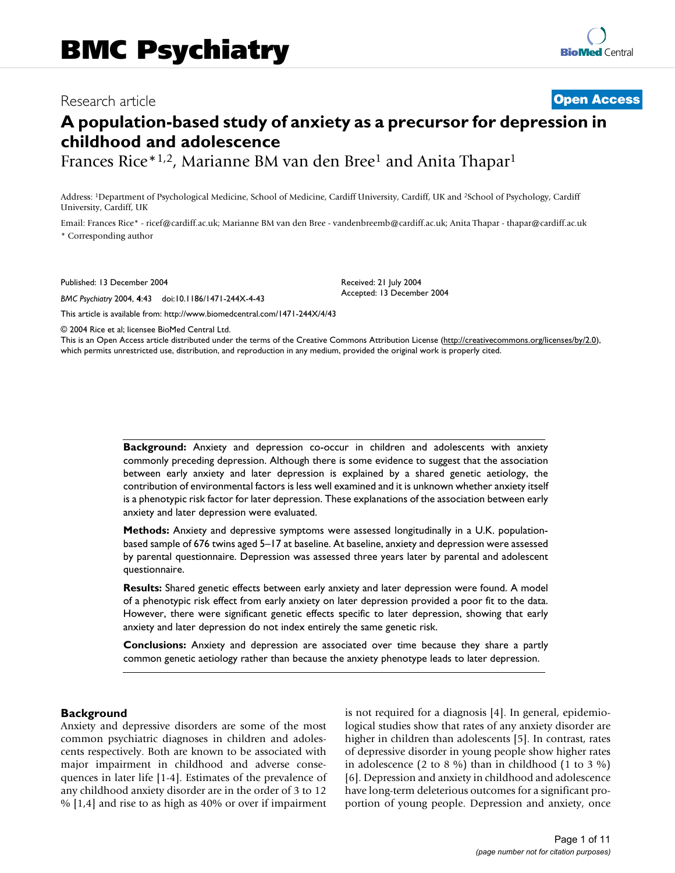## Research article **[Open Access](http://www.biomedcentral.com/info/about/charter/)**

# **A population-based study of anxiety as a precursor for depression in childhood and adolescence**

Frances Rice\*1,2, Marianne BM van den Bree1 and Anita Thapar1

Address: 1Department of Psychological Medicine, School of Medicine, Cardiff University, Cardiff, UK and 2School of Psychology, Cardiff University, Cardiff, UK

Email: Frances Rice\* - ricef@cardiff.ac.uk; Marianne BM van den Bree - vandenbreemb@cardiff.ac.uk; Anita Thapar - thapar@cardiff.ac.uk \* Corresponding author

Published: 13 December 2004

*BMC Psychiatry* 2004, **4**:43 doi:10.1186/1471-244X-4-43

Received: 21 July 2004 Accepted: 13 December 2004

[This article is available from: http://www.biomedcentral.com/1471-244X/4/43](http://www.biomedcentral.com/1471-244X/4/43)

© 2004 Rice et al; licensee BioMed Central Ltd.

This is an Open Access article distributed under the terms of the Creative Commons Attribution License [\(http://creativecommons.org/licenses/by/2.0\)](http://creativecommons.org/licenses/by/2.0), which permits unrestricted use, distribution, and reproduction in any medium, provided the original work is properly cited.

> **Background:** Anxiety and depression co-occur in children and adolescents with anxiety commonly preceding depression. Although there is some evidence to suggest that the association between early anxiety and later depression is explained by a shared genetic aetiology, the contribution of environmental factors is less well examined and it is unknown whether anxiety itself is a phenotypic risk factor for later depression. These explanations of the association between early anxiety and later depression were evaluated.

> **Methods:** Anxiety and depressive symptoms were assessed longitudinally in a U.K. populationbased sample of 676 twins aged 5–17 at baseline. At baseline, anxiety and depression were assessed by parental questionnaire. Depression was assessed three years later by parental and adolescent questionnaire.

> **Results:** Shared genetic effects between early anxiety and later depression were found. A model of a phenotypic risk effect from early anxiety on later depression provided a poor fit to the data. However, there were significant genetic effects specific to later depression, showing that early anxiety and later depression do not index entirely the same genetic risk.

> **Conclusions:** Anxiety and depression are associated over time because they share a partly common genetic aetiology rather than because the anxiety phenotype leads to later depression.

#### **Background**

Anxiety and depressive disorders are some of the most common psychiatric diagnoses in children and adolescents respectively. Both are known to be associated with major impairment in childhood and adverse consequences in later life [1-4]. Estimates of the prevalence of any childhood anxiety disorder are in the order of 3 to 12  $%$  [1,4] and rise to as high as 40% or over if impairment is not required for a diagnosis [4]. In general, epidemiological studies show that rates of any anxiety disorder are higher in children than adolescents [5]. In contrast, rates of depressive disorder in young people show higher rates in adolescence (2 to 8 %) than in childhood (1 to 3 %) [6]. Depression and anxiety in childhood and adolescence have long-term deleterious outcomes for a significant proportion of young people. Depression and anxiety, once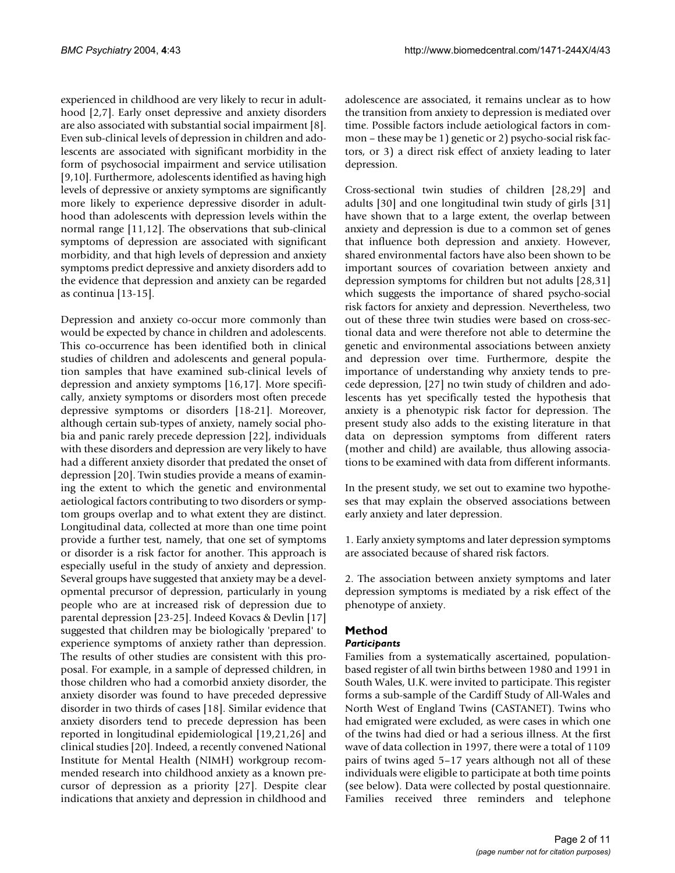experienced in childhood are very likely to recur in adulthood [2,7]. Early onset depressive and anxiety disorders are also associated with substantial social impairment [8]. Even sub-clinical levels of depression in children and adolescents are associated with significant morbidity in the form of psychosocial impairment and service utilisation [9,10]. Furthermore, adolescents identified as having high levels of depressive or anxiety symptoms are significantly more likely to experience depressive disorder in adulthood than adolescents with depression levels within the normal range [11,12]. The observations that sub-clinical symptoms of depression are associated with significant morbidity, and that high levels of depression and anxiety symptoms predict depressive and anxiety disorders add to the evidence that depression and anxiety can be regarded as continua [13-15].

Depression and anxiety co-occur more commonly than would be expected by chance in children and adolescents. This co-occurrence has been identified both in clinical studies of children and adolescents and general population samples that have examined sub-clinical levels of depression and anxiety symptoms [16,17]. More specifically, anxiety symptoms or disorders most often precede depressive symptoms or disorders [18-21]. Moreover, although certain sub-types of anxiety, namely social phobia and panic rarely precede depression [22], individuals with these disorders and depression are very likely to have had a different anxiety disorder that predated the onset of depression [20]. Twin studies provide a means of examining the extent to which the genetic and environmental aetiological factors contributing to two disorders or symptom groups overlap and to what extent they are distinct. Longitudinal data, collected at more than one time point provide a further test, namely, that one set of symptoms or disorder is a risk factor for another. This approach is especially useful in the study of anxiety and depression. Several groups have suggested that anxiety may be a developmental precursor of depression, particularly in young people who are at increased risk of depression due to parental depression [23-25]. Indeed Kovacs & Devlin [17] suggested that children may be biologically 'prepared' to experience symptoms of anxiety rather than depression. The results of other studies are consistent with this proposal. For example, in a sample of depressed children, in those children who had a comorbid anxiety disorder, the anxiety disorder was found to have preceded depressive disorder in two thirds of cases [18]. Similar evidence that anxiety disorders tend to precede depression has been reported in longitudinal epidemiological [19,21,26] and clinical studies [20]. Indeed, a recently convened National Institute for Mental Health (NIMH) workgroup recommended research into childhood anxiety as a known precursor of depression as a priority [27]. Despite clear indications that anxiety and depression in childhood and adolescence are associated, it remains unclear as to how the transition from anxiety to depression is mediated over time. Possible factors include aetiological factors in common – these may be 1) genetic or 2) psycho-social risk factors, or 3) a direct risk effect of anxiety leading to later depression.

Cross-sectional twin studies of children [28,29] and adults [30] and one longitudinal twin study of girls [31] have shown that to a large extent, the overlap between anxiety and depression is due to a common set of genes that influence both depression and anxiety. However, shared environmental factors have also been shown to be important sources of covariation between anxiety and depression symptoms for children but not adults [28,31] which suggests the importance of shared psycho-social risk factors for anxiety and depression. Nevertheless, two out of these three twin studies were based on cross-sectional data and were therefore not able to determine the genetic and environmental associations between anxiety and depression over time. Furthermore, despite the importance of understanding why anxiety tends to precede depression, [27] no twin study of children and adolescents has yet specifically tested the hypothesis that anxiety is a phenotypic risk factor for depression. The present study also adds to the existing literature in that data on depression symptoms from different raters (mother and child) are available, thus allowing associations to be examined with data from different informants.

In the present study, we set out to examine two hypotheses that may explain the observed associations between early anxiety and later depression.

1. Early anxiety symptoms and later depression symptoms are associated because of shared risk factors.

2. The association between anxiety symptoms and later depression symptoms is mediated by a risk effect of the phenotype of anxiety.

## **Method**

#### *Participants*

Families from a systematically ascertained, populationbased register of all twin births between 1980 and 1991 in South Wales, U.K. were invited to participate. This register forms a sub-sample of the Cardiff Study of All-Wales and North West of England Twins (CASTANET). Twins who had emigrated were excluded, as were cases in which one of the twins had died or had a serious illness. At the first wave of data collection in 1997, there were a total of 1109 pairs of twins aged 5–17 years although not all of these individuals were eligible to participate at both time points (see below). Data were collected by postal questionnaire. Families received three reminders and telephone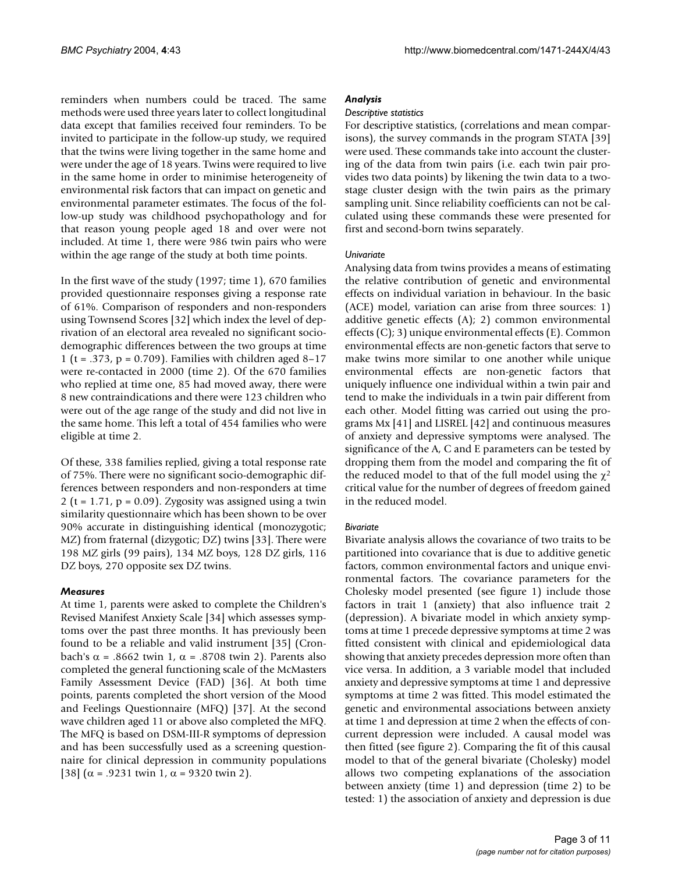reminders when numbers could be traced. The same methods were used three years later to collect longitudinal data except that families received four reminders. To be invited to participate in the follow-up study, we required that the twins were living together in the same home and were under the age of 18 years. Twins were required to live in the same home in order to minimise heterogeneity of environmental risk factors that can impact on genetic and environmental parameter estimates. The focus of the follow-up study was childhood psychopathology and for that reason young people aged 18 and over were not included. At time 1, there were 986 twin pairs who were within the age range of the study at both time points.

In the first wave of the study (1997; time 1), 670 families provided questionnaire responses giving a response rate of 61%. Comparison of responders and non-responders using Townsend Scores [32] which index the level of deprivation of an electoral area revealed no significant sociodemographic differences between the two groups at time 1 (t = .373, p = 0.709). Families with children aged  $8-17$ were re-contacted in 2000 (time 2). Of the 670 families who replied at time one, 85 had moved away, there were 8 new contraindications and there were 123 children who were out of the age range of the study and did not live in the same home. This left a total of 454 families who were eligible at time 2.

Of these, 338 families replied, giving a total response rate of 75%. There were no significant socio-demographic differences between responders and non-responders at time 2 (t = 1.71,  $p = 0.09$ ). Zygosity was assigned using a twin similarity questionnaire which has been shown to be over 90% accurate in distinguishing identical (monozygotic; MZ) from fraternal (dizygotic; DZ) twins [33]. There were 198 MZ girls (99 pairs), 134 MZ boys, 128 DZ girls, 116 DZ boys, 270 opposite sex DZ twins.

## *Measures*

At time 1, parents were asked to complete the Children's Revised Manifest Anxiety Scale [34] which assesses symptoms over the past three months. It has previously been found to be a reliable and valid instrument [35] (Cronbach's α = .8662 twin 1, α = .8708 twin 2). Parents also completed the general functioning scale of the McMasters Family Assessment Device (FAD) [36]. At both time points, parents completed the short version of the Mood and Feelings Questionnaire (MFQ) [37]. At the second wave children aged 11 or above also completed the MFQ. The MFQ is based on DSM-III-R symptoms of depression and has been successfully used as a screening questionnaire for clinical depression in community populations [38]  $(\alpha = .9231 \text{ twin } 1, \alpha = 9320 \text{ twin } 2)$ .

## *Analysis*

## *Descriptive statistics*

For descriptive statistics, (correlations and mean comparisons), the survey commands in the program STATA [39] were used. These commands take into account the clustering of the data from twin pairs (i.e. each twin pair provides two data points) by likening the twin data to a twostage cluster design with the twin pairs as the primary sampling unit. Since reliability coefficients can not be calculated using these commands these were presented for first and second-born twins separately.

## *Univariate*

Analysing data from twins provides a means of estimating the relative contribution of genetic and environmental effects on individual variation in behaviour. In the basic (ACE) model, variation can arise from three sources: 1) additive genetic effects (A); 2) common environmental effects (C); 3) unique environmental effects (E). Common environmental effects are non-genetic factors that serve to make twins more similar to one another while unique environmental effects are non-genetic factors that uniquely influence one individual within a twin pair and tend to make the individuals in a twin pair different from each other. Model fitting was carried out using the programs Mx [41] and LISREL [42] and continuous measures of anxiety and depressive symptoms were analysed. The significance of the A, C and E parameters can be tested by dropping them from the model and comparing the fit of the reduced model to that of the full model using the  $\chi^2$ critical value for the number of degrees of freedom gained in the reduced model.

## *Bivariate*

Bivariate analysis allows the covariance of two traits to be partitioned into covariance that is due to additive genetic factors, common environmental factors and unique environmental factors. The covariance parameters for the Cholesky model presented (see figure 1) include those factors in trait 1 (anxiety) that also influence trait 2 (depression). A bivariate model in which anxiety symptoms at time 1 precede depressive symptoms at time 2 was fitted consistent with clinical and epidemiological data showing that anxiety precedes depression more often than vice versa. In addition, a 3 variable model that included anxiety and depressive symptoms at time 1 and depressive symptoms at time 2 was fitted. This model estimated the genetic and environmental associations between anxiety at time 1 and depression at time 2 when the effects of concurrent depression were included. A causal model was then fitted (see figure 2). Comparing the fit of this causal model to that of the general bivariate (Cholesky) model allows two competing explanations of the association between anxiety (time 1) and depression (time 2) to be tested: 1) the association of anxiety and depression is due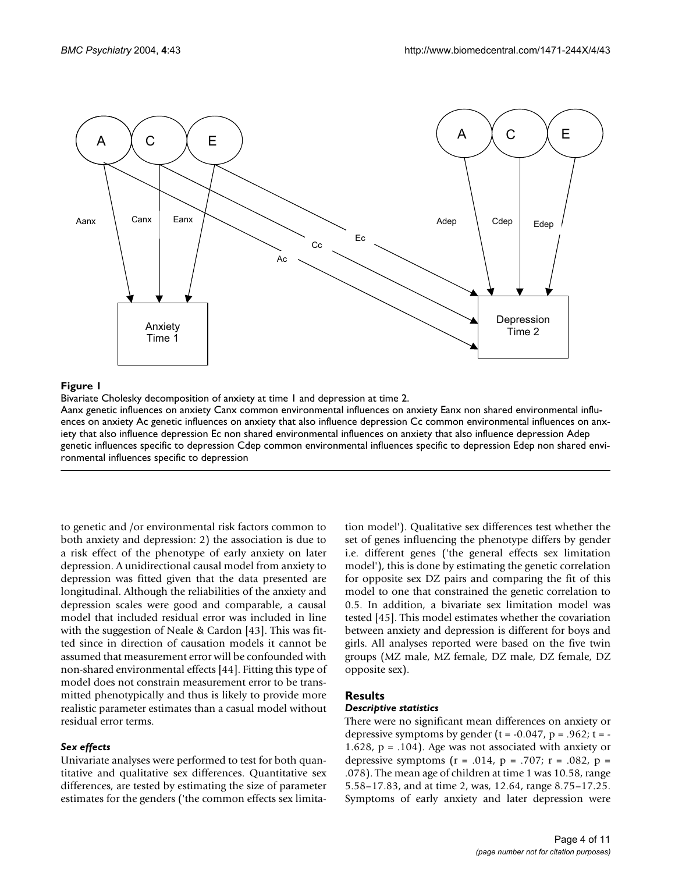

#### **Figure 1**

Bivariate Cholesky decomposition of anxiety at time 1 and depression at time 2. Aanx genetic influences on anxiety Canx common environmental influences on anxiety Eanx non shared environmental influences on anxiety Ac genetic influences on anxiety that also influence depression Cc common environmental influences on anxiety that also influence depression Ec non shared environmental influences on anxiety that also influence depression Adep genetic influences specific to depression Cdep common environmental influences specific to depression Edep non shared environmental influences specific to depression

to genetic and /or environmental risk factors common to both anxiety and depression: 2) the association is due to a risk effect of the phenotype of early anxiety on later depression. A unidirectional causal model from anxiety to depression was fitted given that the data presented are longitudinal. Although the reliabilities of the anxiety and depression scales were good and comparable, a causal model that included residual error was included in line with the suggestion of Neale & Cardon [43]. This was fitted since in direction of causation models it cannot be assumed that measurement error will be confounded with non-shared environmental effects [44]. Fitting this type of model does not constrain measurement error to be transmitted phenotypically and thus is likely to provide more realistic parameter estimates than a casual model without residual error terms.

## *Sex effects*

Univariate analyses were performed to test for both quantitative and qualitative sex differences. Quantitative sex differences, are tested by estimating the size of parameter estimates for the genders ('the common effects sex limitation model'). Qualitative sex differences test whether the set of genes influencing the phenotype differs by gender i.e. different genes ('the general effects sex limitation model'), this is done by estimating the genetic correlation for opposite sex DZ pairs and comparing the fit of this model to one that constrained the genetic correlation to 0.5. In addition, a bivariate sex limitation model was tested [45]. This model estimates whether the covariation between anxiety and depression is different for boys and girls. All analyses reported were based on the five twin groups (MZ male, MZ female, DZ male, DZ female, DZ opposite sex).

#### **Results**

#### *Descriptive statistics*

There were no significant mean differences on anxiety or depressive symptoms by gender ( $t = -0.047$ ,  $p = 0.962$ ;  $t = -1$ 1.628, p = .104). Age was not associated with anxiety or depressive symptoms ( $r = .014$ ,  $p = .707$ ;  $r = .082$ ,  $p =$ .078). The mean age of children at time 1 was 10.58, range 5.58–17.83, and at time 2, was, 12.64, range 8.75–17.25. Symptoms of early anxiety and later depression were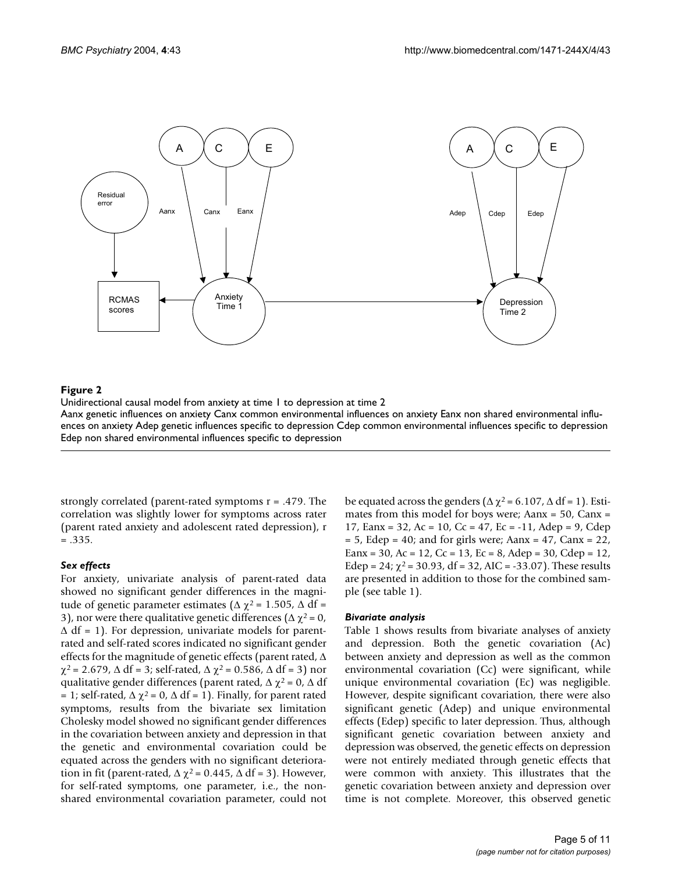

#### Figure 2

Unidirectional causal model from anxiety at time 1 to depression at time 2 Aanx genetic influences on anxiety Canx common environmental influences on anxiety Eanx non shared environmental influences on anxiety Adep genetic influences specific to depression Cdep common environmental influences specific to depression Edep non shared environmental influences specific to depression

strongly correlated (parent-rated symptoms r = .479. The correlation was slightly lower for symptoms across rater (parent rated anxiety and adolescent rated depression), r = .335.

#### *Sex effects*

For anxiety, univariate analysis of parent-rated data showed no significant gender differences in the magnitude of genetic parameter estimates ( $Δ$   $χ$ <sup>2</sup> = 1.505,  $Δ$  df = 3), nor were there qualitative genetic differences ( $\Delta \chi^2 = 0$ ,  $\Delta$  df = 1). For depression, univariate models for parentrated and self-rated scores indicated no significant gender effects for the magnitude of genetic effects (parent rated, ∆  $\chi^2$  = 2.679,  $\Delta$  df = 3; self-rated,  $\Delta \chi^2$  = 0.586,  $\Delta$  df = 3) nor qualitative gender differences (parent rated,  $\Delta \chi^2 = 0$ ,  $\Delta$  df = 1; self-rated,  $\Delta \chi^2$  = 0,  $\Delta$  df = 1). Finally, for parent rated symptoms, results from the bivariate sex limitation Cholesky model showed no significant gender differences in the covariation between anxiety and depression in that the genetic and environmental covariation could be equated across the genders with no significant deterioration in fit (parent-rated,  $\Delta \chi^2$  = 0.445,  $\Delta$  df = 3). However, for self-rated symptoms, one parameter, i.e., the nonshared environmental covariation parameter, could not

be equated across the genders ( $\Delta \chi^2$  = 6.107,  $\Delta$  df = 1). Estimates from this model for boys were; Aanx = 50, Canx = 17, Eanx = 32, Ac = 10, Cc = 47, Ec = -11, Adep = 9, Cdep  $= 5$ , Edep  $= 40$ ; and for girls were; Aanx  $= 47$ , Canx  $= 22$ , Eanx =  $30$ , Ac =  $12$ , Cc =  $13$ , Ec =  $8$ , Adep =  $30$ , Cdep =  $12$ , Edep = 24;  $\chi^2$  = 30.93, df = 32, AIC = -33.07). These results are presented in addition to those for the combined sample (see table [1\)](#page-5-0).

#### *Bivariate analysis*

Table [1](#page-5-0) shows results from bivariate analyses of anxiety and depression. Both the genetic covariation (Ac) between anxiety and depression as well as the common environmental covariation (Cc) were significant, while unique environmental covariation (Ec) was negligible. However, despite significant covariation, there were also significant genetic (Adep) and unique environmental effects (Edep) specific to later depression. Thus, although significant genetic covariation between anxiety and depression was observed, the genetic effects on depression were not entirely mediated through genetic effects that were common with anxiety. This illustrates that the genetic covariation between anxiety and depression over time is not complete. Moreover, this observed genetic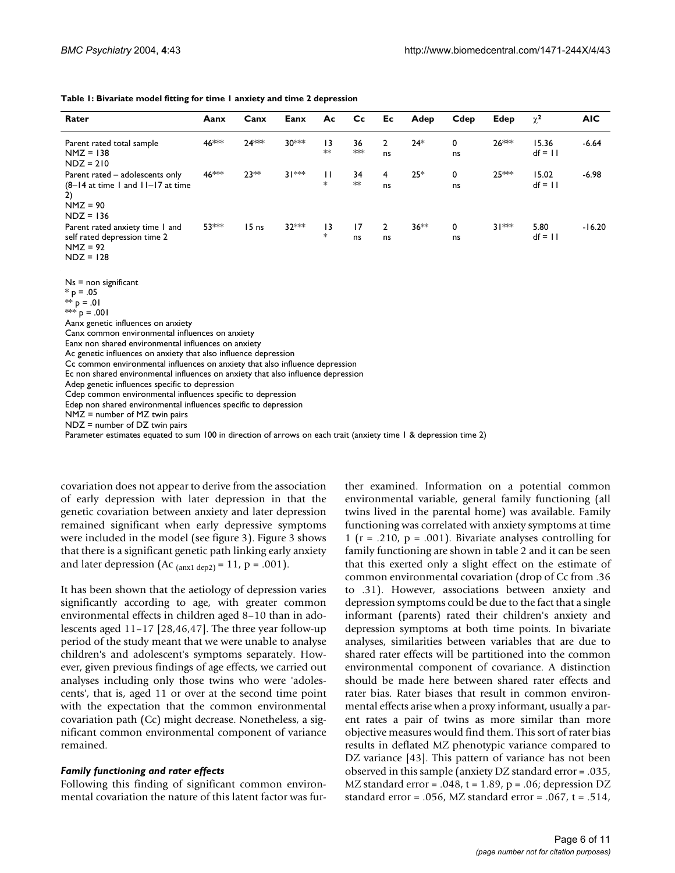<span id="page-5-0"></span>**Table 1: Bivariate model fitting for time 1 anxiety and time 2 depression**

| Rater                                                                                                       | Aanx   | Canx   | Eanx    | Ac                   | Cc        | Ec                 | Adep  | Cdep    | Edep    | $\chi^2$           | <b>AIC</b> |
|-------------------------------------------------------------------------------------------------------------|--------|--------|---------|----------------------|-----------|--------------------|-------|---------|---------|--------------------|------------|
| Parent rated total sample<br>$NMZ = 138$<br>$NDZ = 210$                                                     | 46***  | 24***  | 30***   | 3<br>$*$             | 36<br>$*$ | 2<br>ns            | $24*$ | 0<br>ns | 26***   | 15.36<br>$df = 11$ | $-6.64$    |
| Parent rated – adolescents only<br>$(8-14$ at time 1 and $11-17$ at time<br>2)<br>$NMZ = 90$<br>$NDZ = 136$ | 46***  | $23**$ | $31***$ | $\mathbf{1}$<br>$*$  | 34<br>$*$ | 4<br>ns            | $25*$ | 0<br>ns | 25***   | 15.02<br>$df = 11$ | $-6.98$    |
| Parent rated anxiety time 1 and<br>self rated depression time 2<br>$NMZ = 92$<br>$NDZ = 128$                | 53 *** | 15 ns  | $32***$ | $\overline{13}$<br>* | 17<br>ns  | $\mathbf{2}$<br>ns | 36**  | 0<br>ns | $31***$ | 5.80<br>$df = 11$  | $-16.20$   |

Ns = non significant

 $*$  p = .05

 $** p = .01$ 

\*\*\*  $p = .001$ 

Aanx genetic influences on anxiety

Canx common environmental influences on anxiety

Eanx non shared environmental influences on anxiety

Ac genetic influences on anxiety that also influence depression

Cc common environmental influences on anxiety that also influence depression

Ec non shared environmental influences on anxiety that also influence depression

Adep genetic influences specific to depression

Cdep common environmental influences specific to depression

Edep non shared environmental influences specific to depression

NMZ = number of MZ twin pairs

NDZ = number of DZ twin pairs

Parameter estimates equated to sum 100 in direction of arrows on each trait (anxiety time 1 & depression time 2)

covariation does not appear to derive from the association of early depression with later depression in that the genetic covariation between anxiety and later depression remained significant when early depressive symptoms were included in the model (see figure 3). Figure 3 shows that there is a significant genetic path linking early anxiety and later depression (Ac  $_{\text{(anx1 dep2)}} = 11$ , p = .001).

It has been shown that the aetiology of depression varies significantly according to age, with greater common environmental effects in children aged 8–10 than in adolescents aged 11–17 [28,46,47]. The three year follow-up period of the study meant that we were unable to analyse children's and adolescent's symptoms separately. However, given previous findings of age effects, we carried out analyses including only those twins who were 'adolescents', that is, aged 11 or over at the second time point with the expectation that the common environmental covariation path (Cc) might decrease. Nonetheless, a significant common environmental component of variance remained.

## *Family functioning and rater effects*

Following this finding of significant common environmental covariation the nature of this latent factor was further examined. Information on a potential common environmental variable, general family functioning (all twins lived in the parental home) was available. Family functioning was correlated with anxiety symptoms at time 1 ( $r = .210$ ,  $p = .001$ ). Bivariate analyses controlling for family functioning are shown in table [2](#page-7-0) and it can be seen that this exerted only a slight effect on the estimate of common environmental covariation (drop of Cc from .36 to .31). However, associations between anxiety and depression symptoms could be due to the fact that a single informant (parents) rated their children's anxiety and depression symptoms at both time points. In bivariate analyses, similarities between variables that are due to shared rater effects will be partitioned into the common environmental component of covariance. A distinction should be made here between shared rater effects and rater bias. Rater biases that result in common environmental effects arise when a proxy informant, usually a parent rates a pair of twins as more similar than more objective measures would find them. This sort of rater bias results in deflated MZ phenotypic variance compared to DZ variance [43]. This pattern of variance has not been observed in this sample (anxiety DZ standard error = .035, MZ standard error = .048, t = 1.89,  $p = .06$ ; depression DZ standard error = .056, MZ standard error = .067, t = .514,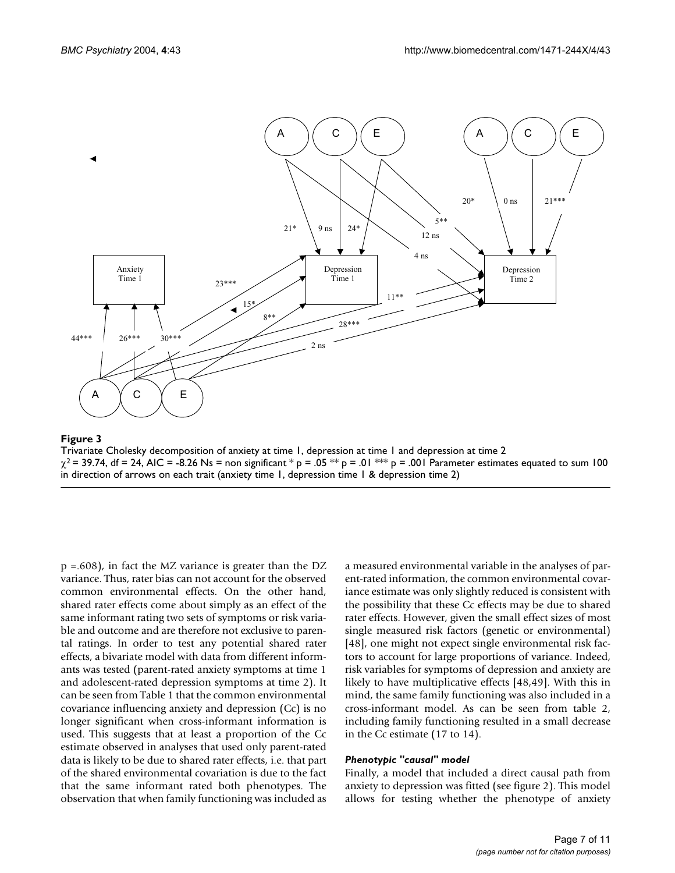

#### Trivariate Cholesky decomposition of **Figure 3** anxiety at time 1, depression at time 1 and depression at time 2

Trivariate Cholesky decomposition of anxiety at time 1, depression at time 1 and depression at time 2  $\chi^2$  = 39.74, df = 24, AIC = -8.26 Ns = non significant \* p = .05 \*\* p = .01 \*\* p = .001 Parameter estimates equated to sum 100 in direction of arrows on each trait (anxiety time 1, depression time 1 & depression time 2)

p =.608), in fact the MZ variance is greater than the DZ variance. Thus, rater bias can not account for the observed common environmental effects. On the other hand, shared rater effects come about simply as an effect of the same informant rating two sets of symptoms or risk variable and outcome and are therefore not exclusive to parental ratings. In order to test any potential shared rater effects, a bivariate model with data from different informants was tested (parent-rated anxiety symptoms at time 1 and adolescent-rated depression symptoms at time 2). It can be seen from Table [1](#page-5-0) that the common environmental covariance influencing anxiety and depression (Cc) is no longer significant when cross-informant information is used. This suggests that at least a proportion of the Cc estimate observed in analyses that used only parent-rated data is likely to be due to shared rater effects, i.e. that part of the shared environmental covariation is due to the fact that the same informant rated both phenotypes. The observation that when family functioning was included as

a measured environmental variable in the analyses of parent-rated information, the common environmental covariance estimate was only slightly reduced is consistent with the possibility that these Cc effects may be due to shared rater effects. However, given the small effect sizes of most single measured risk factors (genetic or environmental) [48], one might not expect single environmental risk factors to account for large proportions of variance. Indeed, risk variables for symptoms of depression and anxiety are likely to have multiplicative effects [48,49]. With this in mind, the same family functioning was also included in a cross-informant model. As can be seen from table [2,](#page-7-0) including family functioning resulted in a small decrease in the Cc estimate (17 to 14).

#### *Phenotypic "causal" model*

Finally, a model that included a direct causal path from anxiety to depression was fitted (see figure 2). This model allows for testing whether the phenotype of anxiety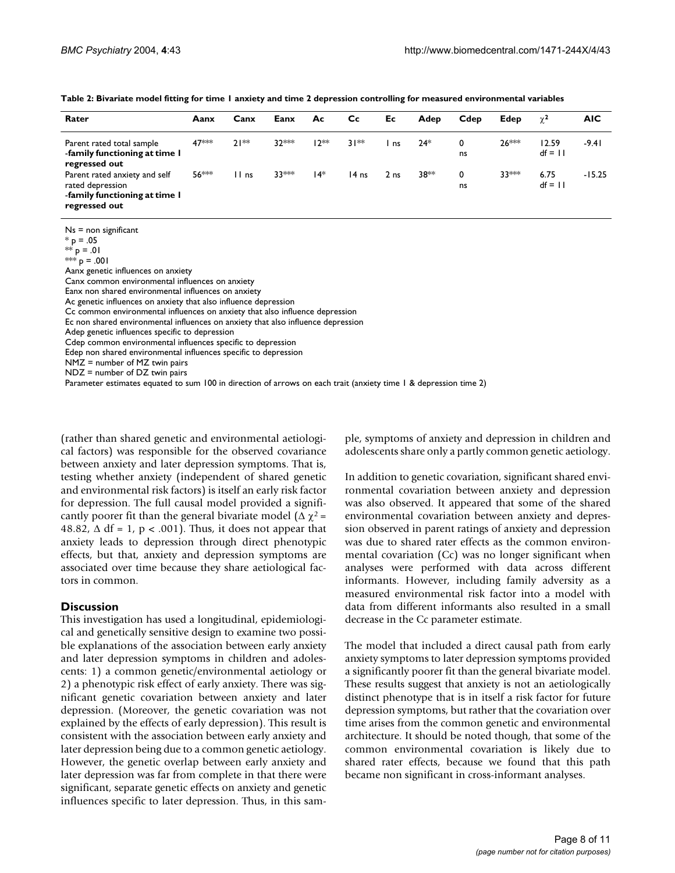<span id="page-7-0"></span>**Table 2: Bivariate model fitting for time 1 anxiety and time 2 depression controlling for measured environmental variables**

| Rater                                                                                               | Aanx  | Canx   | Eanx    | Ac   | Cc.    | Ec              | Adep  | Cdep    | Edep   | $\gamma^2$         | <b>AIC</b> |
|-----------------------------------------------------------------------------------------------------|-------|--------|---------|------|--------|-----------------|-------|---------|--------|--------------------|------------|
| Parent rated total sample<br>-family functioning at time I<br>regressed out                         | 47*** | $21**$ | $32***$ | 12** | $31**$ | ns              | $24*$ | 0<br>ns | 26 *** | 12.59<br>$df = 11$ | $-9.41$    |
| Parent rated anxiety and self<br>rated depression<br>-family functioning at time I<br>regressed out | 56*** | II ns  | $33***$ | ∣4*  | 14 ns  | 2 <sub>ns</sub> | 38**  | 0<br>ns | 33***  | 6.75<br>$df = 11$  | $-15.25$   |

Ns = non significant

 $*_{p} = .05$ 

 $*$  p = .01

\*\*\*  $p = .001$ 

Aanx genetic influences on anxiety

Canx common environmental influences on anxiety

Eanx non shared environmental influences on anxiety

Ac genetic influences on anxiety that also influence depression

Cc common environmental influences on anxiety that also influence depression

Ec non shared environmental influences on anxiety that also influence depression

Adep genetic influences specific to depression

Cdep common environmental influences specific to depression

Edep non shared environmental influences specific to depression

NMZ = number of MZ twin pairs

NDZ = number of DZ twin pairs

Parameter estimates equated to sum 100 in direction of arrows on each trait (anxiety time 1 & depression time 2)

(rather than shared genetic and environmental aetiological factors) was responsible for the observed covariance between anxiety and later depression symptoms. That is, testing whether anxiety (independent of shared genetic and environmental risk factors) is itself an early risk factor for depression. The full causal model provided a significantly poorer fit than the general bivariate model ( $\Delta \chi^2$  = 48.82,  $\Delta$  df = 1, p < .001). Thus, it does not appear that anxiety leads to depression through direct phenotypic effects, but that, anxiety and depression symptoms are associated over time because they share aetiological factors in common.

## **Discussion**

This investigation has used a longitudinal, epidemiological and genetically sensitive design to examine two possible explanations of the association between early anxiety and later depression symptoms in children and adolescents: 1) a common genetic/environmental aetiology or 2) a phenotypic risk effect of early anxiety. There was significant genetic covariation between anxiety and later depression. (Moreover, the genetic covariation was not explained by the effects of early depression). This result is consistent with the association between early anxiety and later depression being due to a common genetic aetiology. However, the genetic overlap between early anxiety and later depression was far from complete in that there were significant, separate genetic effects on anxiety and genetic influences specific to later depression. Thus, in this sample, symptoms of anxiety and depression in children and adolescents share only a partly common genetic aetiology.

In addition to genetic covariation, significant shared environmental covariation between anxiety and depression was also observed. It appeared that some of the shared environmental covariation between anxiety and depression observed in parent ratings of anxiety and depression was due to shared rater effects as the common environmental covariation (Cc) was no longer significant when analyses were performed with data across different informants. However, including family adversity as a measured environmental risk factor into a model with data from different informants also resulted in a small decrease in the Cc parameter estimate.

The model that included a direct causal path from early anxiety symptoms to later depression symptoms provided a significantly poorer fit than the general bivariate model. These results suggest that anxiety is not an aetiologically distinct phenotype that is in itself a risk factor for future depression symptoms, but rather that the covariation over time arises from the common genetic and environmental architecture. It should be noted though, that some of the common environmental covariation is likely due to shared rater effects, because we found that this path became non significant in cross-informant analyses.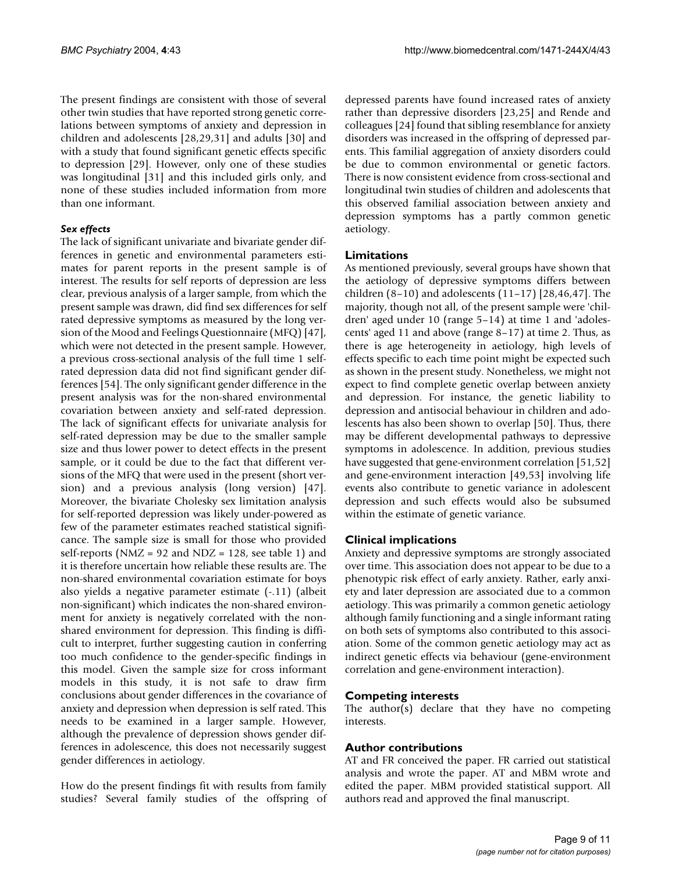The present findings are consistent with those of several other twin studies that have reported strong genetic correlations between symptoms of anxiety and depression in children and adolescents [28,29,31] and adults [30] and with a study that found significant genetic effects specific to depression [29]. However, only one of these studies was longitudinal [31] and this included girls only, and none of these studies included information from more than one informant.

## *Sex effects*

The lack of significant univariate and bivariate gender differences in genetic and environmental parameters estimates for parent reports in the present sample is of interest. The results for self reports of depression are less clear, previous analysis of a larger sample, from which the present sample was drawn, did find sex differences for self rated depressive symptoms as measured by the long version of the Mood and Feelings Questionnaire (MFQ) [47], which were not detected in the present sample. However, a previous cross-sectional analysis of the full time 1 selfrated depression data did not find significant gender differences [54]. The only significant gender difference in the present analysis was for the non-shared environmental covariation between anxiety and self-rated depression. The lack of significant effects for univariate analysis for self-rated depression may be due to the smaller sample size and thus lower power to detect effects in the present sample, or it could be due to the fact that different versions of the MFQ that were used in the present (short version) and a previous analysis (long version) [47]. Moreover, the bivariate Cholesky sex limitation analysis for self-reported depression was likely under-powered as few of the parameter estimates reached statistical significance. The sample size is small for those who provided self-reports ( $NMZ = 92$  and  $NDZ = 128$  $NDZ = 128$  $NDZ = 128$ , see table 1) and it is therefore uncertain how reliable these results are. The non-shared environmental covariation estimate for boys also yields a negative parameter estimate (-.11) (albeit non-significant) which indicates the non-shared environment for anxiety is negatively correlated with the nonshared environment for depression. This finding is difficult to interpret, further suggesting caution in conferring too much confidence to the gender-specific findings in this model. Given the sample size for cross informant models in this study, it is not safe to draw firm conclusions about gender differences in the covariance of anxiety and depression when depression is self rated. This needs to be examined in a larger sample. However, although the prevalence of depression shows gender differences in adolescence, this does not necessarily suggest gender differences in aetiology.

How do the present findings fit with results from family studies? Several family studies of the offspring of depressed parents have found increased rates of anxiety rather than depressive disorders [23,25] and Rende and colleagues [24] found that sibling resemblance for anxiety disorders was increased in the offspring of depressed parents. This familial aggregation of anxiety disorders could be due to common environmental or genetic factors. There is now consistent evidence from cross-sectional and longitudinal twin studies of children and adolescents that this observed familial association between anxiety and depression symptoms has a partly common genetic aetiology.

## **Limitations**

As mentioned previously, several groups have shown that the aetiology of depressive symptoms differs between children (8–10) and adolescents (11–17) [28,46,47]. The majority, though not all, of the present sample were 'children' aged under 10 (range 5–14) at time 1 and 'adolescents' aged 11 and above (range 8–17) at time 2. Thus, as there is age heterogeneity in aetiology, high levels of effects specific to each time point might be expected such as shown in the present study. Nonetheless, we might not expect to find complete genetic overlap between anxiety and depression. For instance, the genetic liability to depression and antisocial behaviour in children and adolescents has also been shown to overlap [50]. Thus, there may be different developmental pathways to depressive symptoms in adolescence. In addition, previous studies have suggested that gene-environment correlation [51,52] and gene-environment interaction [49,53] involving life events also contribute to genetic variance in adolescent depression and such effects would also be subsumed within the estimate of genetic variance.

## **Clinical implications**

Anxiety and depressive symptoms are strongly associated over time. This association does not appear to be due to a phenotypic risk effect of early anxiety. Rather, early anxiety and later depression are associated due to a common aetiology. This was primarily a common genetic aetiology although family functioning and a single informant rating on both sets of symptoms also contributed to this association. Some of the common genetic aetiology may act as indirect genetic effects via behaviour (gene-environment correlation and gene-environment interaction).

## **Competing interests**

The author(s) declare that they have no competing interests.

## **Author contributions**

AT and FR conceived the paper. FR carried out statistical analysis and wrote the paper. AT and MBM wrote and edited the paper. MBM provided statistical support. All authors read and approved the final manuscript.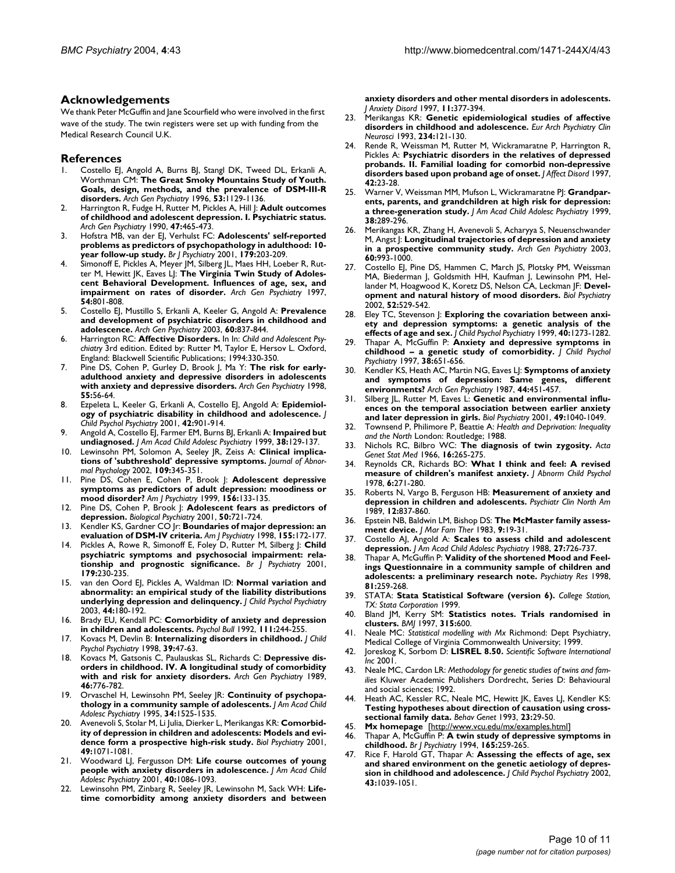#### **Acknowledgements**

We thank Peter McGuffin and Jane Scourfield who were involved in the first wave of the study. The twin registers were set up with funding from the Medical Research Council U.K.

#### **References**

- 1. Costello EJ, Angold A, Burns BJ, Stangl DK, Tweed DL, Erkanli A, Worthman CM: **[The Great Smoky Mountains Study of Youth.](http://www.ncbi.nlm.nih.gov/entrez/query.fcgi?cmd=Retrieve&db=PubMed&dopt=Abstract&list_uids=8956679) [Goals, design, methods, and the prevalence of DSM-III-R](http://www.ncbi.nlm.nih.gov/entrez/query.fcgi?cmd=Retrieve&db=PubMed&dopt=Abstract&list_uids=8956679) [disorders.](http://www.ncbi.nlm.nih.gov/entrez/query.fcgi?cmd=Retrieve&db=PubMed&dopt=Abstract&list_uids=8956679)** *Arch Gen Psychiatry* 1996, **53:**1129-1136.
- 2. Harrington R, Fudge H, Rutter M, Pickles A, Hill J: **[Adult outcomes](http://www.ncbi.nlm.nih.gov/entrez/query.fcgi?cmd=Retrieve&db=PubMed&dopt=Abstract&list_uids=2184797) [of childhood and adolescent depression. I. Psychiatric status.](http://www.ncbi.nlm.nih.gov/entrez/query.fcgi?cmd=Retrieve&db=PubMed&dopt=Abstract&list_uids=2184797)** *Arch Gen Psychiatry* 1990, **47:**465-473.
- 3. Hofstra MB, van der EJ, Verhulst FC: **[Adolescents' self-reported](http://www.ncbi.nlm.nih.gov/entrez/query.fcgi?cmd=Retrieve&db=PubMed&dopt=Abstract&list_uids=11532796) [problems as predictors of psychopathology in adulthood: 10](http://www.ncbi.nlm.nih.gov/entrez/query.fcgi?cmd=Retrieve&db=PubMed&dopt=Abstract&list_uids=11532796) [year follow-up study.](http://www.ncbi.nlm.nih.gov/entrez/query.fcgi?cmd=Retrieve&db=PubMed&dopt=Abstract&list_uids=11532796)** *Br J Psychiatry* 2001, **179:**203-209.
- Simonoff E, Pickles A, Meyer JM, Silberg JL, Maes HH, Loeber R, Rutter M, Hewitt JK, Eaves LJ: **[The Virginia Twin Study of Adoles](http://www.ncbi.nlm.nih.gov/entrez/query.fcgi?cmd=Retrieve&db=PubMed&dopt=Abstract&list_uids=9294370)[cent Behavioral Development. Influences of age, sex, and](http://www.ncbi.nlm.nih.gov/entrez/query.fcgi?cmd=Retrieve&db=PubMed&dopt=Abstract&list_uids=9294370) [impairment on rates of disorder.](http://www.ncbi.nlm.nih.gov/entrez/query.fcgi?cmd=Retrieve&db=PubMed&dopt=Abstract&list_uids=9294370)** *Arch Gen Psychiatry* 1997, **54:**801-808.
- 5. Costello EJ, Mustillo S, Erkanli A, Keeler G, Angold A: **[Prevalence](http://www.ncbi.nlm.nih.gov/entrez/query.fcgi?cmd=Retrieve&db=PubMed&dopt=Abstract&list_uids=12912767) [and development of psychiatric disorders in childhood and](http://www.ncbi.nlm.nih.gov/entrez/query.fcgi?cmd=Retrieve&db=PubMed&dopt=Abstract&list_uids=12912767) [adolescence.](http://www.ncbi.nlm.nih.gov/entrez/query.fcgi?cmd=Retrieve&db=PubMed&dopt=Abstract&list_uids=12912767)** *Arch Gen Psychiatry* 2003, **60:**837-844.
- 6. Harrington RC: **Affective Disorders.** In In: *Child and Adolescent Psychiatry* 3rd edition. Edited by: Rutter M, Taylor E, Hersov L. Oxford, England: Blackwell Scientific Publications; 1994:330-350.
- 7. Pine DS, Cohen P, Gurley D, Brook J, Ma Y: **[The risk for early](http://www.ncbi.nlm.nih.gov/entrez/query.fcgi?cmd=Retrieve&db=PubMed&dopt=Abstract&list_uids=9435761)[adulthood anxiety and depressive disorders in adolescents](http://www.ncbi.nlm.nih.gov/entrez/query.fcgi?cmd=Retrieve&db=PubMed&dopt=Abstract&list_uids=9435761) [with anxiety and depressive disorders.](http://www.ncbi.nlm.nih.gov/entrez/query.fcgi?cmd=Retrieve&db=PubMed&dopt=Abstract&list_uids=9435761)** *Arch Gen Psychiatry* 1998, **55:**56-64.
- 8. Ezpeleta L, Keeler G, Erkanli A, Costello EJ, Angold A: **[Epidemiol](http://www.ncbi.nlm.nih.gov/entrez/query.fcgi?cmd=Retrieve&db=PubMed&dopt=Abstract&list_uids=11693585)[ogy of psychiatric disability in childhood and adolescence.](http://www.ncbi.nlm.nih.gov/entrez/query.fcgi?cmd=Retrieve&db=PubMed&dopt=Abstract&list_uids=11693585)** *J Child Psychol Psychiatry* 2001, **42:**901-914.
- 9. Angold A, Costello EJ, Farmer EM, Burns BJ, Erkanli A: **[Impaired but](http://www.ncbi.nlm.nih.gov/entrez/query.fcgi?cmd=Retrieve&db=PubMed&dopt=Abstract&list_uids=9951211) [undiagnosed.](http://www.ncbi.nlm.nih.gov/entrez/query.fcgi?cmd=Retrieve&db=PubMed&dopt=Abstract&list_uids=9951211)** *J Am Acad Child Adolesc Psychiatry* 1999, **38:**129-137.
- 10. Lewinsohn PM, Solomon A, Seeley JR, Zeiss A: **Clinical implications of 'subthreshold' depressive symptoms.** *Journal of Abnormal Psychology* 2002, **109:**345-351.
- 11. Pine DS, Cohen E, Cohen P, Brook J: **[Adolescent depressive](http://www.ncbi.nlm.nih.gov/entrez/query.fcgi?cmd=Retrieve&db=PubMed&dopt=Abstract&list_uids=9892310) [symptoms as predictors of adult depression: moodiness or](http://www.ncbi.nlm.nih.gov/entrez/query.fcgi?cmd=Retrieve&db=PubMed&dopt=Abstract&list_uids=9892310) [mood disorder?](http://www.ncbi.nlm.nih.gov/entrez/query.fcgi?cmd=Retrieve&db=PubMed&dopt=Abstract&list_uids=9892310)** *Am J Psychiatry* 1999, **156:**133-135.
- 12. Pine DS, Cohen P, Brook J: **[Adolescent fears as predictors of](http://www.ncbi.nlm.nih.gov/entrez/query.fcgi?cmd=Retrieve&db=PubMed&dopt=Abstract&list_uids=11704080) [depression.](http://www.ncbi.nlm.nih.gov/entrez/query.fcgi?cmd=Retrieve&db=PubMed&dopt=Abstract&list_uids=11704080)** *Biological Psychiatry* 2001, **50:**721-724.
- 13. Kendler KS, Gardner CO Jr: **[Boundaries of major depression: an](http://www.ncbi.nlm.nih.gov/entrez/query.fcgi?cmd=Retrieve&db=PubMed&dopt=Abstract&list_uids=9464194) [evaluation of DSM-IV criteria.](http://www.ncbi.nlm.nih.gov/entrez/query.fcgi?cmd=Retrieve&db=PubMed&dopt=Abstract&list_uids=9464194)** *Am J Psychiatry* 1998, **155:**172-177.
- 14. Pickles A, Rowe R, Simonoff E, Foley D, Rutter M, Silberg J: **[Child](http://www.ncbi.nlm.nih.gov/entrez/query.fcgi?cmd=Retrieve&db=PubMed&dopt=Abstract&list_uids=11532800) [psychiatric symptoms and psychosocial impairment: rela](http://www.ncbi.nlm.nih.gov/entrez/query.fcgi?cmd=Retrieve&db=PubMed&dopt=Abstract&list_uids=11532800)[tionship and prognostic significance.](http://www.ncbi.nlm.nih.gov/entrez/query.fcgi?cmd=Retrieve&db=PubMed&dopt=Abstract&list_uids=11532800)** *Br J Psychiatry* 2001, **179:**230-235.
- 15. van den Oord EJ, Pickles A, Waldman ID: **[Normal variation and](http://www.ncbi.nlm.nih.gov/entrez/query.fcgi?cmd=Retrieve&db=PubMed&dopt=Abstract&list_uids=12587855) [abnormality: an empirical study of the liability distributions](http://www.ncbi.nlm.nih.gov/entrez/query.fcgi?cmd=Retrieve&db=PubMed&dopt=Abstract&list_uids=12587855) [underlying depression and delinquency.](http://www.ncbi.nlm.nih.gov/entrez/query.fcgi?cmd=Retrieve&db=PubMed&dopt=Abstract&list_uids=12587855)** *J Child Psychol Psychiatry* 2003, **44:**180-192.
- 16. Brady EU, Kendall PC: **[Comorbidity of anxiety and depression](http://www.ncbi.nlm.nih.gov/entrez/query.fcgi?cmd=Retrieve&db=PubMed&dopt=Abstract&list_uids=1557475) [in children and adolescents.](http://www.ncbi.nlm.nih.gov/entrez/query.fcgi?cmd=Retrieve&db=PubMed&dopt=Abstract&list_uids=1557475)** *Psychol Bull* 1992, **111:**244-255.
- 17. Kovacs M, Devlin B: **[Internalizing disorders in childhood.](http://www.ncbi.nlm.nih.gov/entrez/query.fcgi?cmd=Retrieve&db=PubMed&dopt=Abstract&list_uids=9534086)** *J Child Psychol Psychiatry* 1998, **39:**47-63.
- 18. Kovacs M, Gatsonis C, Paulauskas SL, Richards C: **[Depressive dis](http://www.ncbi.nlm.nih.gov/entrez/query.fcgi?cmd=Retrieve&db=PubMed&dopt=Abstract&list_uids=2774847)[orders in childhood. IV. A longitudinal study of comorbidity](http://www.ncbi.nlm.nih.gov/entrez/query.fcgi?cmd=Retrieve&db=PubMed&dopt=Abstract&list_uids=2774847) [with and risk for anxiety disorders.](http://www.ncbi.nlm.nih.gov/entrez/query.fcgi?cmd=Retrieve&db=PubMed&dopt=Abstract&list_uids=2774847)** *Arch Gen Psychiatry* 1989, **46:**776-782.
- 19. Orvaschel H, Lewinsohn PM, Seeley JR: **[Continuity of psychopa](http://www.ncbi.nlm.nih.gov/entrez/query.fcgi?cmd=Retrieve&db=PubMed&dopt=Abstract&list_uids=8543521)[thology in a community sample of adolescents.](http://www.ncbi.nlm.nih.gov/entrez/query.fcgi?cmd=Retrieve&db=PubMed&dopt=Abstract&list_uids=8543521)** *J Am Acad Child Adolesc Psychiatry* 1995, **34:**1525-1535.
- 20. Avenevoli S, Stolar M, Li Julia, Dierker L, Merikangas KR: **[Comorbid](http://www.ncbi.nlm.nih.gov/entrez/query.fcgi?cmd=Retrieve&db=PubMed&dopt=Abstract&list_uids=11430849)[ity of depression in children and adolescents: Models and evi](http://www.ncbi.nlm.nih.gov/entrez/query.fcgi?cmd=Retrieve&db=PubMed&dopt=Abstract&list_uids=11430849)[dence form a prospective high-risk study.](http://www.ncbi.nlm.nih.gov/entrez/query.fcgi?cmd=Retrieve&db=PubMed&dopt=Abstract&list_uids=11430849)** *Biol Psychiatry* 2001, **49:**1071-1081.
- 21. Woodward LJ, Fergusson DM: **[Life course outcomes of young](http://www.ncbi.nlm.nih.gov/entrez/query.fcgi?cmd=Retrieve&db=PubMed&dopt=Abstract&list_uids=11556633) [people with anxiety disorders in adolescence.](http://www.ncbi.nlm.nih.gov/entrez/query.fcgi?cmd=Retrieve&db=PubMed&dopt=Abstract&list_uids=11556633)** *J Am Acad Child Adolesc Psychiatry* 2001, **40:**1086-1093.
- 22. Lewinsohn PM, Zinbarg R, Seeley JR, Lewinsohn M, Sack WH: **[Life](http://www.ncbi.nlm.nih.gov/entrez/query.fcgi?cmd=Retrieve&db=PubMed&dopt=Abstract&list_uids=9276783)[time comorbidity among anxiety disorders and between](http://www.ncbi.nlm.nih.gov/entrez/query.fcgi?cmd=Retrieve&db=PubMed&dopt=Abstract&list_uids=9276783)**

**[anxiety disorders and other mental disorders in adolescents.](http://www.ncbi.nlm.nih.gov/entrez/query.fcgi?cmd=Retrieve&db=PubMed&dopt=Abstract&list_uids=9276783)** *J Anxiety Disord* 1997, **11:**377-394.

- 23. Merikangas KR: **Genetic epidemiological studies of affective disorders in childhood and adolescence.** *Eur Arch Psychiatry Clin Neurosci* 1993, **234:**121-130.
- 24. Rende R, Weissman M, Rutter M, Wickramaratne P, Harrington R, Pickles A: **[Psychiatric disorders in the relatives of depressed](http://www.ncbi.nlm.nih.gov/entrez/query.fcgi?cmd=Retrieve&db=PubMed&dopt=Abstract&list_uids=9089055) [probands. II. Familial loading for comorbid non-depressive](http://www.ncbi.nlm.nih.gov/entrez/query.fcgi?cmd=Retrieve&db=PubMed&dopt=Abstract&list_uids=9089055) [disorders based upon proband age of onset.](http://www.ncbi.nlm.nih.gov/entrez/query.fcgi?cmd=Retrieve&db=PubMed&dopt=Abstract&list_uids=9089055)** *J Affect Disord* 1997, **42:**23-28.
- 25. Warner V, Weissman MM, Mufson L, Wickramaratne PJ: **[Grandpar](http://www.ncbi.nlm.nih.gov/entrez/query.fcgi?cmd=Retrieve&db=PubMed&dopt=Abstract&list_uids=10087690)[ents, parents, and grandchildren at high risk for depression:](http://www.ncbi.nlm.nih.gov/entrez/query.fcgi?cmd=Retrieve&db=PubMed&dopt=Abstract&list_uids=10087690) [a three-generation study.](http://www.ncbi.nlm.nih.gov/entrez/query.fcgi?cmd=Retrieve&db=PubMed&dopt=Abstract&list_uids=10087690)** *J Am Acad Child Adolesc Psychiatry* 1999, **38:**289-296.
- 26. Merikangas KR, Zhang H, Avenevoli S, Acharyya S, Neuenschwander M, Angst J: **[Longitudinal trajectories of depression and anxiety](http://www.ncbi.nlm.nih.gov/entrez/query.fcgi?cmd=Retrieve&db=PubMed&dopt=Abstract&list_uids=14557144) [in a prospective community study.](http://www.ncbi.nlm.nih.gov/entrez/query.fcgi?cmd=Retrieve&db=PubMed&dopt=Abstract&list_uids=14557144)** *Arch Gen Psychiatry* 2003, **60:**993-1000.
- 27. Costello EJ, Pine DS, Hammen C, March JS, Plotsky PM, Weissman MA, Biederman J, Goldsmith HH, Kaufman J, Lewinsohn PM, Hellander M, Hoagwood K, Koretz DS, Nelson CA, Leckman JF: **[Devel](http://www.ncbi.nlm.nih.gov/entrez/query.fcgi?cmd=Retrieve&db=PubMed&dopt=Abstract&list_uids=12361667)[opment and natural history of mood disorders.](http://www.ncbi.nlm.nih.gov/entrez/query.fcgi?cmd=Retrieve&db=PubMed&dopt=Abstract&list_uids=12361667)** *Biol Psychiatry* 2002, **52:**529-542.
- 28. Eley TC, Stevenson J: **[Exploring the covariation between anxi](http://www.ncbi.nlm.nih.gov/entrez/query.fcgi?cmd=Retrieve&db=PubMed&dopt=Abstract&list_uids=10604405)[ety and depression symptoms: a genetic analysis of the](http://www.ncbi.nlm.nih.gov/entrez/query.fcgi?cmd=Retrieve&db=PubMed&dopt=Abstract&list_uids=10604405) [effects of age and sex.](http://www.ncbi.nlm.nih.gov/entrez/query.fcgi?cmd=Retrieve&db=PubMed&dopt=Abstract&list_uids=10604405)** *J Child Psychol Psychiatry* 1999, **40:**1273-1282.
- 29. Thapar A, McGuffin P: **[Anxiety and depressive symptoms in](http://www.ncbi.nlm.nih.gov/entrez/query.fcgi?cmd=Retrieve&db=PubMed&dopt=Abstract&list_uids=9315975) [childhood – a genetic study of comorbidity.](http://www.ncbi.nlm.nih.gov/entrez/query.fcgi?cmd=Retrieve&db=PubMed&dopt=Abstract&list_uids=9315975)** *J Child Psychol Psychiatry* 1997, **38:**651-656.
- 30. Kendler KS, Heath AC, Martin NG, Eaves LJ: **[Symptoms of anxiety](http://www.ncbi.nlm.nih.gov/entrez/query.fcgi?cmd=Retrieve&db=PubMed&dopt=Abstract&list_uids=3579496) [and symptoms of depression: Same genes, different](http://www.ncbi.nlm.nih.gov/entrez/query.fcgi?cmd=Retrieve&db=PubMed&dopt=Abstract&list_uids=3579496) [environments?](http://www.ncbi.nlm.nih.gov/entrez/query.fcgi?cmd=Retrieve&db=PubMed&dopt=Abstract&list_uids=3579496)** *Arch Gen Psychiatry* 1987, **44:**451-457.
- 31. Silberg JL, Rutter M, Eaves L: **[Genetic and environmental influ](http://www.ncbi.nlm.nih.gov/entrez/query.fcgi?cmd=Retrieve&db=PubMed&dopt=Abstract&list_uids=11430845)[ences on the temporal association between earlier anxiety](http://www.ncbi.nlm.nih.gov/entrez/query.fcgi?cmd=Retrieve&db=PubMed&dopt=Abstract&list_uids=11430845) [and later depression in girls.](http://www.ncbi.nlm.nih.gov/entrez/query.fcgi?cmd=Retrieve&db=PubMed&dopt=Abstract&list_uids=11430845)** *Biol Psychiatry* 2001, **49:**1040-1049.
- 32. Townsend P, Philimore P, Beattie A: *Health and Deprivation: Inequality and the North* London: Routledge; 1988.
- 33. Nichols RC, Bilbro WC: **[The diagnosis of twin zygosity.](http://www.ncbi.nlm.nih.gov/entrez/query.fcgi?cmd=Retrieve&db=PubMed&dopt=Abstract&list_uids=4959152)** *Acta Genet Stat Med* 1966, **16:**265-275.
- 34. Reynolds CR, Richards BO: **[What I think and feel: A revised](http://www.ncbi.nlm.nih.gov/entrez/query.fcgi?cmd=Retrieve&db=PubMed&dopt=Abstract&list_uids=670592) [measure of children's manifest anxiety.](http://www.ncbi.nlm.nih.gov/entrez/query.fcgi?cmd=Retrieve&db=PubMed&dopt=Abstract&list_uids=670592)** *J Abnorm Child Psychol* 1978, **6:**271-280.
- 35. Roberts N, Vargo B, Ferguson HB: **[Measurement of anxiety and](http://www.ncbi.nlm.nih.gov/entrez/query.fcgi?cmd=Retrieve&db=PubMed&dopt=Abstract&list_uids=2690028) [depression in children and adolescents.](http://www.ncbi.nlm.nih.gov/entrez/query.fcgi?cmd=Retrieve&db=PubMed&dopt=Abstract&list_uids=2690028)** *Psychiatr Clin North Am* 1989, **12:**837-860.
- 36. Epstein NB, Baldwin LM, Bishop DS: **The McMaster family assessment device.** *J Mar Fam Ther* 1983, **9:**19-31.
- 37. Costello AJ, Angold A: **[Scales to assess child and adolescent](http://www.ncbi.nlm.nih.gov/entrez/query.fcgi?cmd=Retrieve&db=PubMed&dopt=Abstract&list_uids=3058677) [depression.](http://www.ncbi.nlm.nih.gov/entrez/query.fcgi?cmd=Retrieve&db=PubMed&dopt=Abstract&list_uids=3058677)** *J Am Acad Child Adolesc Psychiatry* 1988, **27:**726-737.
- 38. Thapar A, McGuffin P: **[Validity of the shortened Mood and Feel](http://www.ncbi.nlm.nih.gov/entrez/query.fcgi?cmd=Retrieve&db=PubMed&dopt=Abstract&list_uids=9858042)[ings Questionnaire in a community sample of children and](http://www.ncbi.nlm.nih.gov/entrez/query.fcgi?cmd=Retrieve&db=PubMed&dopt=Abstract&list_uids=9858042) [adolescents: a preliminary research note.](http://www.ncbi.nlm.nih.gov/entrez/query.fcgi?cmd=Retrieve&db=PubMed&dopt=Abstract&list_uids=9858042)** *Psychiatry Res* 1998, **81:**259-268.
- 39. STATA: **Stata Statistical Software (version 6).** *College Station, TX: Stata Corporation* 1999.
- 40. Bland JM, Kerry SM: **[Statistics notes. Trials randomised in](http://www.ncbi.nlm.nih.gov/entrez/query.fcgi?cmd=Retrieve&db=PubMed&dopt=Abstract&list_uids=9302962) [clusters.](http://www.ncbi.nlm.nih.gov/entrez/query.fcgi?cmd=Retrieve&db=PubMed&dopt=Abstract&list_uids=9302962)** *BMJ* 1997, **315:**600.
- 41. Neale MC: *Statistical modelling with Mx* Richmond: Dept Psychiatry, Medical College of Virginia Commonwealth University; 1999.
- 42. Joreskog K, Sorbom D: **LISREL 8.50.** *Scientific Software International Inc* 2001.
- 43. Neale MC, Cardon LR: *Methodology for genetic studies of twins and families* Kluwer Academic Publishers Dordrecht, Series D: Behavioural and social sciences; 1992.
- 44. Heath AC, Kessler RC, Neale MC, Hewitt JK, Eaves LJ, Kendler KS: **[Testing hypotheses about direction of causation using cross](http://www.ncbi.nlm.nih.gov/entrez/query.fcgi?cmd=Retrieve&db=PubMed&dopt=Abstract&list_uids=8476389)[sectional family data.](http://www.ncbi.nlm.nih.gov/entrez/query.fcgi?cmd=Retrieve&db=PubMed&dopt=Abstract&list_uids=8476389)** *Behav Genet* 1993, **23:**29-50.
- 
- 45. **Mx homepage** [\[http://www.vcu.edu/mx/examples.html](http://www.vcu.edu/mx/examples.html)]<br>46. Thapar A. McGuffin P: **A twin study of depressive syn** 46. Thapar A, McGuffin P: **[A twin study of depressive symptoms in](http://www.ncbi.nlm.nih.gov/entrez/query.fcgi?cmd=Retrieve&db=PubMed&dopt=Abstract&list_uids=7953041) [childhood.](http://www.ncbi.nlm.nih.gov/entrez/query.fcgi?cmd=Retrieve&db=PubMed&dopt=Abstract&list_uids=7953041)** *Br J Psychiatry* 1994, **165:**259-265.
- 47. Rice F, Harold GT, Thapar A: **[Assessing the effects of age, sex](http://www.ncbi.nlm.nih.gov/entrez/query.fcgi?cmd=Retrieve&db=PubMed&dopt=Abstract&list_uids=12455925) [and shared environment on the genetic aetiology of depres](http://www.ncbi.nlm.nih.gov/entrez/query.fcgi?cmd=Retrieve&db=PubMed&dopt=Abstract&list_uids=12455925)[sion in childhood and adolescence.](http://www.ncbi.nlm.nih.gov/entrez/query.fcgi?cmd=Retrieve&db=PubMed&dopt=Abstract&list_uids=12455925)** *J Child Psychol Psychiatry* 2002, **43:**1039-1051.